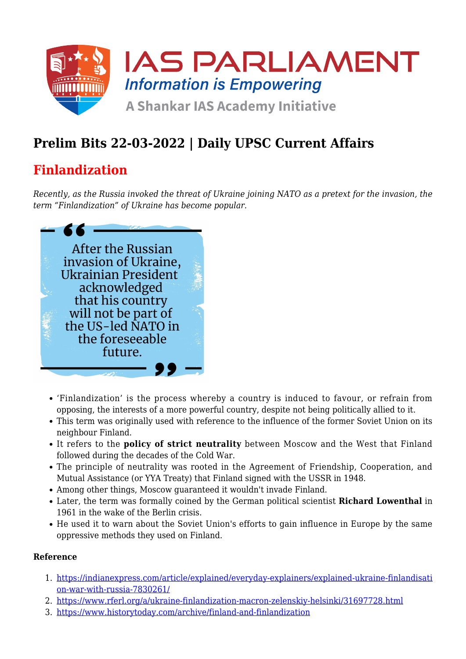

# **Prelim Bits 22-03-2022 | Daily UPSC Current Affairs**

## **Finlandization**

*Recently, as the Russia invoked the threat of Ukraine joining NATO as a pretext for the invasion, the term "Finlandization" of Ukraine has become popular.*



- 'Finlandization' is the process whereby a country is induced to favour, or refrain from opposing, the interests of a more powerful country, despite not being politically allied to it.
- This term was originally used with reference to the influence of the former Soviet Union on its neighbour Finland.
- It refers to the **policy of strict neutrality** between Moscow and the West that Finland followed during the decades of the Cold War.
- The principle of neutrality was rooted in the Agreement of Friendship, Cooperation, and Mutual Assistance (or YYA Treaty) that Finland signed with the USSR in 1948.
- Among other things, Moscow guaranteed it wouldn't invade Finland.
- Later, the term was formally coined by the German political scientist **Richard Lowenthal** in 1961 in the wake of the Berlin crisis.
- He used it to warn about the Soviet Union's efforts to gain influence in Europe by the same oppressive methods they used on Finland.

## **Reference**

- 1. [https://indianexpress.com/article/explained/everyday-explainers/explained-ukraine-finlandisati](https://indianexpress.com/article/explained/everyday-explainers/explained-ukraine-finlandisation-war-with-russia-7830261/) [on-war-with-russia-7830261/](https://indianexpress.com/article/explained/everyday-explainers/explained-ukraine-finlandisation-war-with-russia-7830261/)
- 2. <https://www.rferl.org/a/ukraine-finlandization-macron-zelenskiy-helsinki/31697728.html>
- 3. <https://www.historytoday.com/archive/finland-and-finlandization>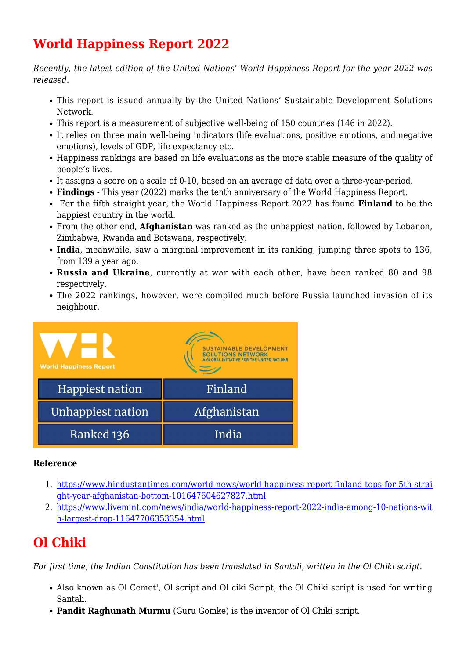# **World Happiness Report 2022**

*Recently, the latest edition of the United Nations' World Happiness Report for the year 2022 was released.*

- This report is issued annually by the United Nations' Sustainable Development Solutions Network.
- This report is a measurement of subjective well-being of 150 countries (146 in 2022).
- It relies on three main well-being indicators (life evaluations, positive emotions, and negative emotions), levels of GDP, life expectancy etc.
- Happiness rankings are based on life evaluations as the more stable measure of the quality of people's lives.
- It assigns a score on a scale of 0-10, based on an average of data over a three-year-period.
- **Findings** This year (2022) marks the tenth anniversary of the World Happiness Report.
- For the fifth straight year, the World Happiness Report 2022 has found **Finland** to be the happiest country in the world.
- From the other end, **Afghanistan** was ranked as the unhappiest nation, followed by Lebanon, Zimbabwe, Rwanda and Botswana, respectively.
- **India**, meanwhile, saw a marginal improvement in its ranking, jumping three spots to 136, from 139 a year ago.
- **Russia and Ukraine**, currently at war with each other, have been ranked 80 and 98 respectively.
- The 2022 rankings, however, were compiled much before Russia launched invasion of its neighbour.



#### **Reference**

- 1. [https://www.hindustantimes.com/world-news/world-happiness-report-finland-tops-for-5th-strai](https://www.hindustantimes.com/world-news/world-happiness-report-finland-tops-for-5th-straight-year-afghanistan-bottom-101647604627827.html) [ght-year-afghanistan-bottom-101647604627827.html](https://www.hindustantimes.com/world-news/world-happiness-report-finland-tops-for-5th-straight-year-afghanistan-bottom-101647604627827.html)
- 2. [https://www.livemint.com/news/india/world-happiness-report-2022-india-among-10-nations-wit](https://www.livemint.com/news/india/world-happiness-report-2022-india-among-10-nations-with-largest-drop-11647706353354.html) [h-largest-drop-11647706353354.html](https://www.livemint.com/news/india/world-happiness-report-2022-india-among-10-nations-with-largest-drop-11647706353354.html)

## **Ol Chiki**

*For first time, the Indian Constitution has been translated in Santali, written in the Ol Chiki script.*

- Also known as Ol Cemet', Ol script and Ol ciki Script, the Ol Chiki script is used for writing Santali.
- **Pandit Raghunath Murmu** (Guru Gomke) is the inventor of Ol Chiki script.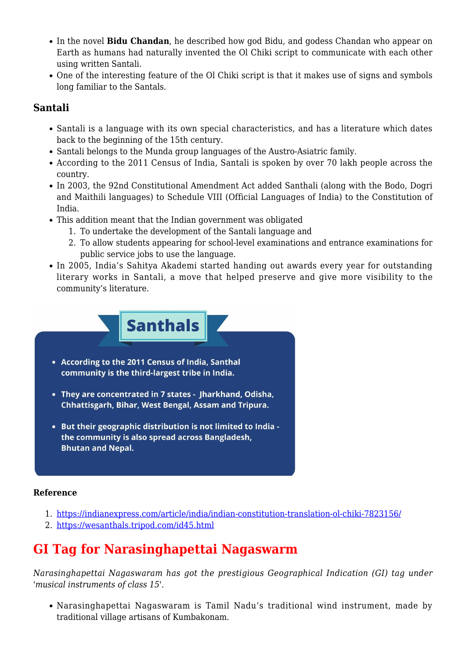- In the novel **Bidu Chandan**, he described how god Bidu, and godess Chandan who appear on Earth as humans had naturally invented the Ol Chiki script to communicate with each other using written Santali.
- One of the interesting feature of the Ol Chiki script is that it makes use of signs and symbols long familiar to the Santals.

## **Santali**

- Santali is a language with its own special characteristics, and has a literature which dates back to the beginning of the 15th century.
- Santali belongs to the Munda group languages of the Austro-Asiatric family.
- According to the 2011 Census of India, Santali is spoken by over 70 lakh people across the country.
- In 2003, the 92nd Constitutional Amendment Act added Santhali (along with the Bodo, Dogri and Maithili languages) to Schedule VIII (Official Languages of India) to the Constitution of India.
- This addition meant that the Indian government was obligated
	- 1. To undertake the development of the Santali language and
	- 2. To allow students appearing for school-level examinations and entrance examinations for public service jobs to use the language.
- In 2005, India's Sahitya Akademi started handing out awards every year for outstanding literary works in Santali, a move that helped preserve and give more visibility to the community's literature.



- According to the 2011 Census of India, Santhal community is the third-largest tribe in India.
- They are concentrated in 7 states Jharkhand, Odisha, Chhattisgarh, Bihar, West Bengal, Assam and Tripura.
- But their geographic distribution is not limited to India the community is also spread across Bangladesh, **Bhutan and Nepal.**

## **Reference**

- 1. <https://indianexpress.com/article/india/indian-constitution-translation-ol-chiki-7823156/>
- 2. <https://wesanthals.tripod.com/id45.html>

## **GI Tag for Narasinghapettai Nagaswarm**

*Narasinghapettai Nagaswaram has got the prestigious Geographical Indication (GI) tag under 'musical instruments of class 15'.*

Narasinghapettai Nagaswaram is Tamil Nadu's traditional wind instrument, made by traditional village artisans of Kumbakonam.